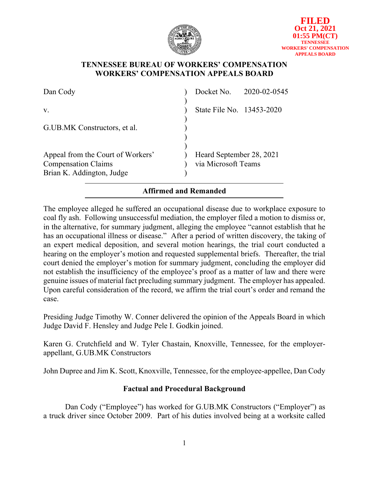

### **TENNESSEE BUREAU OF WORKERS' COMPENSATION WORKERS' COMPENSATION APPEALS BOARD**

| Dan Cody                                                                                     |                                                 | Docket No. 2020-02-0545 |
|----------------------------------------------------------------------------------------------|-------------------------------------------------|-------------------------|
| V.                                                                                           | State File No. 13453-2020                       |                         |
| G.UB.MK Constructors, et al.                                                                 |                                                 |                         |
| Appeal from the Court of Workers'<br><b>Compensation Claims</b><br>Brian K. Addington, Judge | Heard September 28, 2021<br>via Microsoft Teams |                         |

# **Affirmed and Remanded**

The employee alleged he suffered an occupational disease due to workplace exposure to coal fly ash. Following unsuccessful mediation, the employer filed a motion to dismiss or, in the alternative, for summary judgment, alleging the employee "cannot establish that he has an occupational illness or disease." After a period of written discovery, the taking of an expert medical deposition, and several motion hearings, the trial court conducted a hearing on the employer's motion and requested supplemental briefs. Thereafter, the trial court denied the employer's motion for summary judgment, concluding the employer did not establish the insufficiency of the employee's proof as a matter of law and there were genuine issues of material fact precluding summary judgment. The employer has appealed. Upon careful consideration of the record, we affirm the trial court's order and remand the case.

Presiding Judge Timothy W. Conner delivered the opinion of the Appeals Board in which Judge David F. Hensley and Judge Pele I. Godkin joined.

Karen G. Crutchfield and W. Tyler Chastain, Knoxville, Tennessee, for the employerappellant, G.UB.MK Constructors

John Dupree and Jim K. Scott, Knoxville, Tennessee, for the employee-appellee, Dan Cody

# **Factual and Procedural Background**

Dan Cody ("Employee") has worked for G.UB.MK Constructors ("Employer") as a truck driver since October 2009. Part of his duties involved being at a worksite called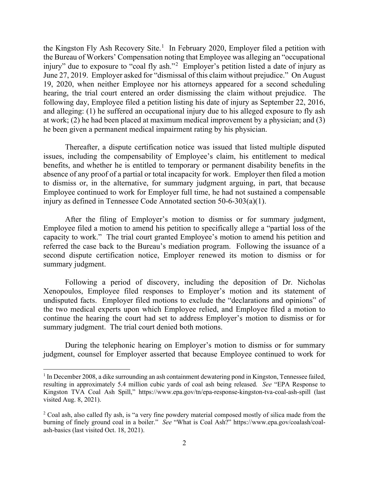the Kingston Fly Ash Recovery Site.<sup>[1](#page-1-0)</sup> In February 2020, Employer filed a petition with the Bureau of Workers' Compensation noting that Employee was alleging an "occupational injury" due to exposure to "coal fly ash."<sup>[2](#page-1-1)</sup> Employer's petition listed a date of injury as June 27, 2019. Employer asked for "dismissal of this claim without prejudice." On August 19, 2020, when neither Employee nor his attorneys appeared for a second scheduling hearing, the trial court entered an order dismissing the claim without prejudice. The following day, Employee filed a petition listing his date of injury as September 22, 2016, and alleging: (1) he suffered an occupational injury due to his alleged exposure to fly ash at work; (2) he had been placed at maximum medical improvement by a physician; and (3) he been given a permanent medical impairment rating by his physician.

Thereafter, a dispute certification notice was issued that listed multiple disputed issues, including the compensability of Employee's claim, his entitlement to medical benefits, and whether he is entitled to temporary or permanent disability benefits in the absence of any proof of a partial or total incapacity for work. Employer then filed a motion to dismiss or, in the alternative, for summary judgment arguing, in part, that because Employee continued to work for Employer full time, he had not sustained a compensable injury as defined in Tennessee Code Annotated section 50-6-303(a)(1).

After the filing of Employer's motion to dismiss or for summary judgment, Employee filed a motion to amend his petition to specifically allege a "partial loss of the capacity to work." The trial court granted Employee's motion to amend his petition and referred the case back to the Bureau's mediation program. Following the issuance of a second dispute certification notice, Employer renewed its motion to dismiss or for summary judgment.

Following a period of discovery, including the deposition of Dr. Nicholas Xenopoulos, Employee filed responses to Employer's motion and its statement of undisputed facts. Employer filed motions to exclude the "declarations and opinions" of the two medical experts upon which Employee relied, and Employee filed a motion to continue the hearing the court had set to address Employer's motion to dismiss or for summary judgment. The trial court denied both motions.

During the telephonic hearing on Employer's motion to dismiss or for summary judgment, counsel for Employer asserted that because Employee continued to work for

<span id="page-1-0"></span><sup>1</sup> In December 2008, a dike surrounding an ash containment dewatering pond in Kingston, Tennessee failed, resulting in approximately 5.4 million cubic yards of coal ash being released. *See* "EPA Response to Kingston TVA Coal Ash Spill," https://www.epa.gov/tn/epa-response-kingston-tva-coal-ash-spill (last visited Aug. 8, 2021).

<span id="page-1-1"></span><sup>&</sup>lt;sup>2</sup> Coal ash, also called fly ash, is "a very fine powdery material composed mostly of silica made from the burning of finely ground coal in a boiler." *See* "What is Coal Ash?" https://www.epa.gov/coalash/coalash-basics (last visited Oct. 18, 2021).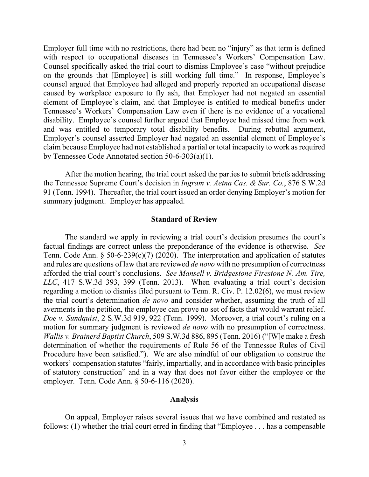Employer full time with no restrictions, there had been no "injury" as that term is defined with respect to occupational diseases in Tennessee's Workers' Compensation Law. Counsel specifically asked the trial court to dismiss Employee's case "without prejudice on the grounds that [Employee] is still working full time." In response, Employee's counsel argued that Employee had alleged and properly reported an occupational disease caused by workplace exposure to fly ash, that Employer had not negated an essential element of Employee's claim, and that Employee is entitled to medical benefits under Tennessee's Workers' Compensation Law even if there is no evidence of a vocational disability. Employee's counsel further argued that Employee had missed time from work and was entitled to temporary total disability benefits. During rebuttal argument, Employer's counsel asserted Employer had negated an essential element of Employee's claim because Employee had not established a partial or total incapacity to work as required by Tennessee Code Annotated section 50-6-303(a)(1).

After the motion hearing, the trial court asked the parties to submit briefs addressing the Tennessee Supreme Court's decision in *Ingram v. Aetna Cas. & Sur. Co.*, 876 S.W.2d 91 (Tenn. 1994). Thereafter, the trial court issued an order denying Employer's motion for summary judgment. Employer has appealed.

#### **Standard of Review**

The standard we apply in reviewing a trial court's decision presumes the court's factual findings are correct unless the preponderance of the evidence is otherwise. *See* Tenn. Code Ann.  $\S$  50-6-239(c)(7) (2020). The interpretation and application of statutes and rules are questions of law that are reviewed *de novo* with no presumption of correctness afforded the trial court's conclusions. *See Mansell v. Bridgestone Firestone N. Am. Tire, LLC*, 417 S.W.3d 393, 399 (Tenn. 2013). When evaluating a trial court's decision regarding a motion to dismiss filed pursuant to Tenn. R. Civ. P. 12.02(6), we must review the trial court's determination *de novo* and consider whether, assuming the truth of all averments in the petition, the employee can prove no set of facts that would warrant relief. *Doe v. Sundquist*, 2 S.W.3d 919, 922 (Tenn. 1999). Moreover, a trial court's ruling on a motion for summary judgment is reviewed *de novo* with no presumption of correctness. *Wallis v. Brainerd Baptist Church*, 509 S.W.3d 886, 895 (Tenn. 2016) ("[W]e make a fresh determination of whether the requirements of Rule 56 of the Tennessee Rules of Civil Procedure have been satisfied."). We are also mindful of our obligation to construe the workers' compensation statutes "fairly, impartially, and in accordance with basic principles of statutory construction" and in a way that does not favor either the employee or the employer. Tenn. Code Ann. § 50-6-116 (2020).

#### **Analysis**

On appeal, Employer raises several issues that we have combined and restated as follows: (1) whether the trial court erred in finding that "Employee . . . has a compensable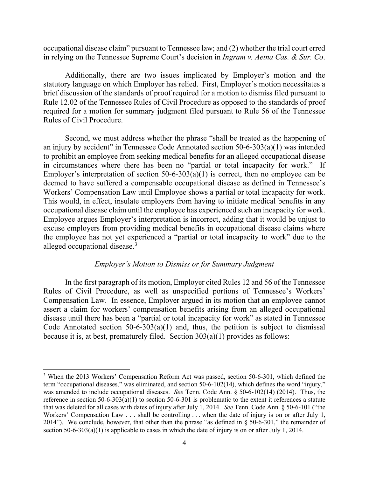occupational disease claim" pursuant to Tennessee law; and (2) whether the trial court erred in relying on the Tennessee Supreme Court's decision in *Ingram v. Aetna Cas. & Sur. Co*.

Additionally, there are two issues implicated by Employer's motion and the statutory language on which Employer has relied. First, Employer's motion necessitates a brief discussion of the standards of proof required for a motion to dismiss filed pursuant to Rule 12.02 of the Tennessee Rules of Civil Procedure as opposed to the standards of proof required for a motion for summary judgment filed pursuant to Rule 56 of the Tennessee Rules of Civil Procedure.

Second, we must address whether the phrase "shall be treated as the happening of an injury by accident" in Tennessee Code Annotated section 50-6-303(a)(1) was intended to prohibit an employee from seeking medical benefits for an alleged occupational disease in circumstances where there has been no "partial or total incapacity for work." If Employer's interpretation of section  $50-6-303(a)(1)$  is correct, then no employee can be deemed to have suffered a compensable occupational disease as defined in Tennessee's Workers' Compensation Law until Employee shows a partial or total incapacity for work. This would, in effect, insulate employers from having to initiate medical benefits in any occupational disease claim until the employee has experienced such an incapacity for work. Employee argues Employer's interpretation is incorrect, adding that it would be unjust to excuse employers from providing medical benefits in occupational disease claims where the employee has not yet experienced a "partial or total incapacity to work" due to the alleged occupational disease.<sup>[3](#page-3-0)</sup>

### *Employer's Motion to Dismiss or for Summary Judgment*

In the first paragraph of its motion, Employer cited Rules 12 and 56 of the Tennessee Rules of Civil Procedure, as well as unspecified portions of Tennessee's Workers' Compensation Law. In essence, Employer argued in its motion that an employee cannot assert a claim for workers' compensation benefits arising from an alleged occupational disease until there has been a "partial or total incapacity for work" as stated in Tennessee Code Annotated section  $50-6-303(a)(1)$  and, thus, the petition is subject to dismissal because it is, at best, prematurely filed. Section 303(a)(1) provides as follows:

<span id="page-3-0"></span><sup>3</sup> When the 2013 Workers' Compensation Reform Act was passed, section 50-6-301, which defined the term "occupational diseases," was eliminated, and section 50-6-102(14), which defines the word "injury," was amended to include occupational diseases. *See* Tenn. Code Ann. § 50-6-102(14) (2014). Thus, the reference in section 50-6-303(a)(1) to section 50-6-301 is problematic to the extent it references a statute that was deleted for all cases with dates of injury after July 1, 2014. *See* Tenn. Code Ann. § 50-6-101 ("the Workers' Compensation Law . . . shall be controlling . . . when the date of injury is on or after July 1, 2014"). We conclude, however, that other than the phrase "as defined in  $\S$  50-6-301," the remainder of section 50-6-303(a)(1) is applicable to cases in which the date of injury is on or after July 1, 2014.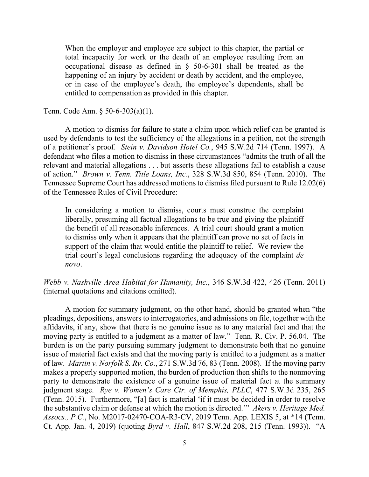When the employer and employee are subject to this chapter, the partial or total incapacity for work or the death of an employee resulting from an occupational disease as defined in § 50-6-301 shall be treated as the happening of an injury by accident or death by accident, and the employee, or in case of the employee's death, the employee's dependents, shall be entitled to compensation as provided in this chapter.

Tenn. Code Ann. § 50-6-303(a)(1).

A motion to dismiss for failure to state a claim upon which relief can be granted is used by defendants to test the sufficiency of the allegations in a petition, not the strength of a petitioner's proof. *Stein v. Davidson Hotel Co.*, 945 S.W.2d 714 (Tenn. 1997). A defendant who files a motion to dismiss in these circumstances "admits the truth of all the relevant and material allegations . . . but asserts these allegations fail to establish a cause of action." *Brown v. Tenn. Title Loans, Inc.*, 328 S.W.3d 850, 854 (Tenn. 2010). The Tennessee Supreme Court has addressed motions to dismiss filed pursuant to Rule 12.02(6) of the Tennessee Rules of Civil Procedure:

In considering a motion to dismiss, courts must construe the complaint liberally, presuming all factual allegations to be true and giving the plaintiff the benefit of all reasonable inferences. A trial court should grant a motion to dismiss only when it appears that the plaintiff can prove no set of facts in support of the claim that would entitle the plaintiff to relief. We review the trial court's legal conclusions regarding the adequacy of the complaint *de novo*.

*Webb v. Nashville Area Habitat for Humanity, Inc.*, 346 S.W.3d 422, 426 (Tenn. 2011) (internal quotations and citations omitted).

A motion for summary judgment, on the other hand, should be granted when "the pleadings, depositions, answers to interrogatories, and admissions on file, together with the affidavits, if any, show that there is no genuine issue as to any material fact and that the moving party is entitled to a judgment as a matter of law." Tenn. R. Civ. P. 56.04.The burden is on the party pursuing summary judgment to demonstrate both that no genuine issue of material fact exists and that the moving party is entitled to a judgment as a matter of law. *Martin v. Norfolk S. Ry. Co.*, 271 S.W.3d 76, 83 (Tenn. 2008). If the moving party makes a properly supported motion, the burden of production then shifts to the nonmoving party to demonstrate the existence of a genuine issue of material fact at the summary judgment stage. *Rye v. Women's Care Ctr. of Memphis, PLLC*, 477 S.W.3d 235, 265 (Tenn. 2015). Furthermore, "[a] fact is material 'if it must be decided in order to resolve the substantive claim or defense at which the motion is directed.'" *Akers v. Heritage Med. Assocs., P.C.*, No. M2017-02470-COA-R3-CV, 2019 Tenn. App. LEXIS 5, at \*14 (Tenn. Ct. App. Jan. 4, 2019) (quoting *Byrd v. Hall*, 847 S.W.2d 208, 215 (Tenn. 1993)). "A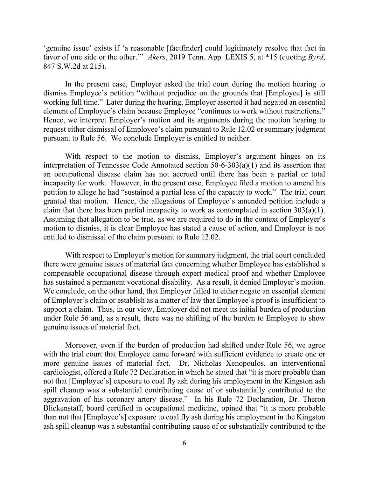'genuine issue' exists if 'a reasonable [factfinder] could legitimately resolve that fact in favor of one side or the other.'" *Akers*, 2019 Tenn. App. LEXIS 5, at \*15 (quoting *Byrd*, 847 S.W.2d at 215).

In the present case, Employer asked the trial court during the motion hearing to dismiss Employee's petition "without prejudice on the grounds that [Employee] is still working full time." Later during the hearing, Employer asserted it had negated an essential element of Employee's claim because Employee "continues to work without restrictions." Hence, we interpret Employer's motion and its arguments during the motion hearing to request either dismissal of Employee's claim pursuant to Rule 12.02 or summary judgment pursuant to Rule 56. We conclude Employer is entitled to neither.

With respect to the motion to dismiss, Employer's argument hinges on its interpretation of Tennessee Code Annotated section 50-6-303(a)(1) and its assertion that an occupational disease claim has not accrued until there has been a partial or total incapacity for work. However, in the present case, Employee filed a motion to amend his petition to allege he had "sustained a partial loss of the capacity to work." The trial court granted that motion. Hence, the allegations of Employee's amended petition include a claim that there has been partial incapacity to work as contemplated in section  $303(a)(1)$ . Assuming that allegation to be true, as we are required to do in the context of Employer's motion to dismiss, it is clear Employee has stated a cause of action, and Employer is not entitled to dismissal of the claim pursuant to Rule 12.02.

With respect to Employer's motion for summary judgment, the trial court concluded there were genuine issues of material fact concerning whether Employee has established a compensable occupational disease through expert medical proof and whether Employee has sustained a permanent vocational disability. As a result, it denied Employer's motion. We conclude, on the other hand, that Employer failed to either negate an essential element of Employer's claim or establish as a matter of law that Employee's proof is insufficient to support a claim. Thus, in our view, Employer did not meet its initial burden of production under Rule 56 and, as a result, there was no shifting of the burden to Employee to show genuine issues of material fact.

Moreover, even if the burden of production had shifted under Rule 56, we agree with the trial court that Employee came forward with sufficient evidence to create one or more genuine issues of material fact. Dr. Nicholas Xenopoulos, an interventional cardiologist, offered a Rule 72 Declaration in which he stated that "it is more probable than not that [Employee's] exposure to coal fly ash during his employment in the Kingston ash spill cleanup was a substantial contributing cause of or substantially contributed to the aggravation of his coronary artery disease." In his Rule 72 Declaration, Dr. Theron Blickenstaff, board certified in occupational medicine, opined that "it is more probable than not that [Employee's] exposure to coal fly ash during his employment in the Kingston ash spill cleanup was a substantial contributing cause of or substantially contributed to the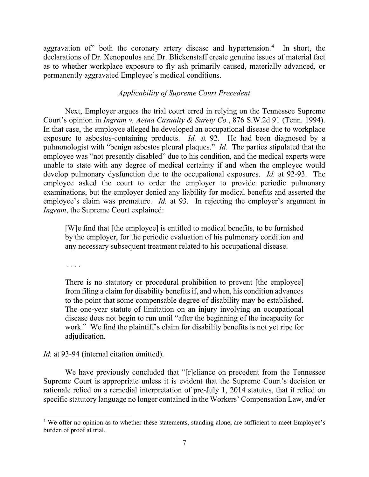aggravation of" both the coronary artery disease and hypertension.<sup>[4](#page-6-0)</sup> In short, the declarations of Dr. Xenopoulos and Dr. Blickenstaff create genuine issues of material fact as to whether workplace exposure to fly ash primarily caused, materially advanced, or permanently aggravated Employee's medical conditions.

### *Applicability of Supreme Court Precedent*

Next, Employer argues the trial court erred in relying on the Tennessee Supreme Court's opinion in *Ingram v. Aetna Casualty & Surety Co.*, 876 S.W.2d 91 (Tenn. 1994). In that case, the employee alleged he developed an occupational disease due to workplace exposure to asbestos-containing products. *Id.* at 92. He had been diagnosed by a pulmonologist with "benign asbestos pleural plaques." *Id.* The parties stipulated that the employee was "not presently disabled" due to his condition, and the medical experts were unable to state with any degree of medical certainty if and when the employee would develop pulmonary dysfunction due to the occupational exposures. *Id.* at 92-93. The employee asked the court to order the employer to provide periodic pulmonary examinations, but the employer denied any liability for medical benefits and asserted the employee's claim was premature. *Id.* at 93. In rejecting the employer's argument in *Ingram*, the Supreme Court explained:

[W]e find that [the employee] is entitled to medical benefits, to be furnished by the employer, for the periodic evaluation of his pulmonary condition and any necessary subsequent treatment related to his occupational disease.

. . . .

There is no statutory or procedural prohibition to prevent [the employee] from filing a claim for disability benefits if, and when, his condition advances to the point that some compensable degree of disability may be established. The one-year statute of limitation on an injury involving an occupational disease does not begin to run until "after the beginning of the incapacity for work." We find the plaintiff's claim for disability benefits is not yet ripe for adjudication.

*Id.* at 93-94 (internal citation omitted).

We have previously concluded that "[r]eliance on precedent from the Tennessee Supreme Court is appropriate unless it is evident that the Supreme Court's decision or rationale relied on a remedial interpretation of pre-July 1, 2014 statutes, that it relied on specific statutory language no longer contained in the Workers' Compensation Law, and/or

<span id="page-6-0"></span><sup>&</sup>lt;sup>4</sup> We offer no opinion as to whether these statements, standing alone, are sufficient to meet Employee's burden of proof at trial.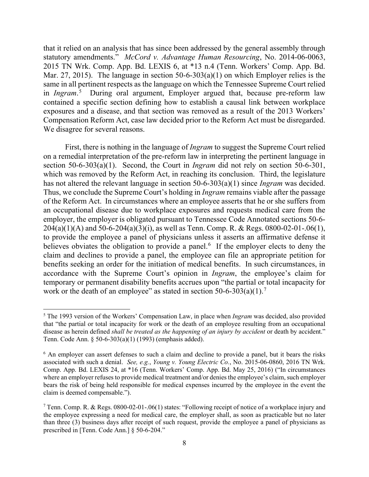that it relied on an analysis that has since been addressed by the general assembly through statutory amendments." *McCord v. Advantage Human Resourcing*, No. 2014-06-0063, 2015 TN Wrk. Comp. App. Bd. LEXIS 6, at \*13 n.4 (Tenn. Workers' Comp. App. Bd. Mar. 27, 2015). The language in section 50-6-303(a)(1) on which Employer relies is the same in all pertinent respects as the language on which the Tennessee Supreme Court relied in *Ingram*. [5](#page-7-0) During oral argument, Employer argued that, because pre-reform law contained a specific section defining how to establish a causal link between workplace exposures and a disease, and that section was removed as a result of the 2013 Workers' Compensation Reform Act, case law decided prior to the Reform Act must be disregarded. We disagree for several reasons.

First, there is nothing in the language of *Ingram* to suggest the Supreme Court relied on a remedial interpretation of the pre-reform law in interpreting the pertinent language in section 50-6-303(a)(1). Second, the Court in *Ingram* did not rely on section 50-6-301, which was removed by the Reform Act, in reaching its conclusion. Third, the legislature has not altered the relevant language in section 50-6-303(a)(1) since *Ingram* was decided. Thus, we conclude the Supreme Court's holding in *Ingram* remains viable after the passage of the Reform Act. In circumstances where an employee asserts that he or she suffers from an occupational disease due to workplace exposures and requests medical care from the employer, the employer is obligated pursuant to Tennessee Code Annotated sections 50-6- 204(a)(1)(A) and 50-6-204(a)(3)(i), as well as Tenn. Comp. R. & Regs. 0800-02-01-.06(1), to provide the employee a panel of physicians unless it asserts an affirmative defense it believes obviates the obligation to provide a panel.<sup>[6](#page-7-1)</sup> If the employer elects to deny the claim and declines to provide a panel, the employee can file an appropriate petition for benefits seeking an order for the initiation of medical benefits. In such circumstances, in accordance with the Supreme Court's opinion in *Ingram*, the employee's claim for temporary or permanent disability benefits accrues upon "the partial or total incapacity for work or the death of an employee" as stated in section 50-6-303(a)(1).<sup>[7](#page-7-2)</sup>

<span id="page-7-0"></span><sup>5</sup> The 1993 version of the Workers' Compensation Law, in place when *Ingram* was decided, also provided that "the partial or total incapacity for work or the death of an employee resulting from an occupational disease as herein defined *shall be treated as the happening of an injury by accident* or death by accident." Tenn. Code Ann. § 50-6-303(a)(1) (1993) (emphasis added).

<span id="page-7-1"></span><sup>&</sup>lt;sup>6</sup> An employer can assert defenses to such a claim and decline to provide a panel, but it bears the risks associated with such a denial. *See, e.g.*, *Young v. Young Electric Co.*, No. 2015-06-0860, 2016 TN Wrk. Comp. App. Bd. LEXIS 24, at \*16 (Tenn. Workers' Comp. App. Bd. May 25, 2016) ("In circumstances where an employer refuses to provide medical treatment and/or denies the employee's claim, such employer bears the risk of being held responsible for medical expenses incurred by the employee in the event the claim is deemed compensable.").

<span id="page-7-2"></span><sup>7</sup> Tenn. Comp. R. & Regs. 0800-02-01-.06(1) states: "Following receipt of notice of a workplace injury and the employee expressing a need for medical care, the employer shall, as soon as practicable but no later than three (3) business days after receipt of such request, provide the employee a panel of physicians as prescribed in [Tenn. Code Ann.] § 50-6-204."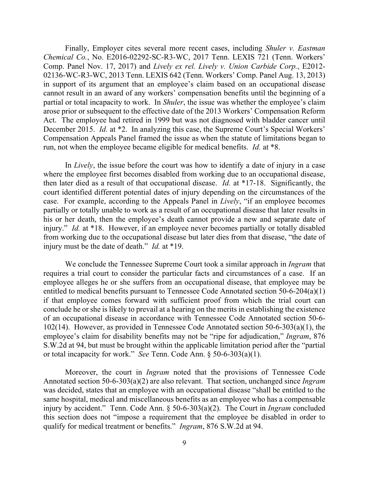Finally, Employer cites several more recent cases, including *Shuler v. Eastman Chemical Co.*, No. E2016-02292-SC-R3-WC, 2017 Tenn. LEXIS 721 (Tenn. Workers' Comp. Panel Nov. 17, 2017) and *Lively ex rel. Lively v. Union Carbide Corp.*, E2012- 02136-WC-R3-WC, 2013 Tenn. LEXIS 642 (Tenn. Workers' Comp. Panel Aug. 13, 2013) in support of its argument that an employee's claim based on an occupational disease cannot result in an award of any workers' compensation benefits until the beginning of a partial or total incapacity to work. In *Shuler*, the issue was whether the employee's claim arose prior or subsequent to the effective date of the 2013 Workers' Compensation Reform Act. The employee had retired in 1999 but was not diagnosed with bladder cancer until December 2015. *Id.* at \*2. In analyzing this case, the Supreme Court's Special Workers' Compensation Appeals Panel framed the issue as when the statute of limitations began to run, not when the employee became eligible for medical benefits. *Id.* at \*8.

In *Lively*, the issue before the court was how to identify a date of injury in a case where the employee first becomes disabled from working due to an occupational disease, then later died as a result of that occupational disease. *Id.* at \*17-18. Significantly, the court identified different potential dates of injury depending on the circumstances of the case. For example, according to the Appeals Panel in *Lively*, "if an employee becomes partially or totally unable to work as a result of an occupational disease that later results in his or her death, then the employee's death cannot provide a new and separate date of injury." *Id.* at \*18. However, if an employee never becomes partially or totally disabled from working due to the occupational disease but later dies from that disease, "the date of injury must be the date of death." *Id.* at \*19.

We conclude the Tennessee Supreme Court took a similar approach in *Ingram* that requires a trial court to consider the particular facts and circumstances of a case. If an employee alleges he or she suffers from an occupational disease, that employee may be entitled to medical benefits pursuant to Tennessee Code Annotated section 50-6-204(a)(1) if that employee comes forward with sufficient proof from which the trial court can conclude he or she is likely to prevail at a hearing on the merits in establishing the existence of an occupational disease in accordance with Tennessee Code Annotated section 50-6- 102(14). However, as provided in Tennessee Code Annotated section 50-6-303(a)(1), the employee's claim for disability benefits may not be "ripe for adjudication," *Ingram*, 876 S.W.2d at 94, but must be brought within the applicable limitation period after the "partial or total incapacity for work." *See* Tenn. Code Ann. § 50-6-303(a)(1).

Moreover, the court in *Ingram* noted that the provisions of Tennessee Code Annotated section 50-6-303(a)(2) are also relevant. That section, unchanged since *Ingram* was decided, states that an employee with an occupational disease "shall be entitled to the same hospital, medical and miscellaneous benefits as an employee who has a compensable injury by accident." Tenn. Code Ann. § 50-6-303(a)(2). The Court in *Ingram* concluded this section does not "impose a requirement that the employee be disabled in order to qualify for medical treatment or benefits." *Ingram*, 876 S.W.2d at 94.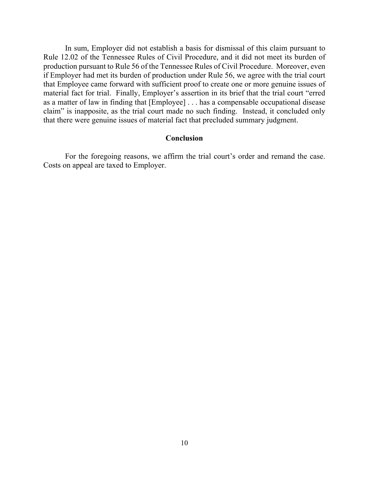In sum, Employer did not establish a basis for dismissal of this claim pursuant to Rule 12.02 of the Tennessee Rules of Civil Procedure, and it did not meet its burden of production pursuant to Rule 56 of the Tennessee Rules of Civil Procedure. Moreover, even if Employer had met its burden of production under Rule 56, we agree with the trial court that Employee came forward with sufficient proof to create one or more genuine issues of material fact for trial. Finally, Employer's assertion in its brief that the trial court "erred as a matter of law in finding that [Employee] . . . has a compensable occupational disease claim" is inapposite, as the trial court made no such finding. Instead, it concluded only that there were genuine issues of material fact that precluded summary judgment.

### **Conclusion**

For the foregoing reasons, we affirm the trial court's order and remand the case. Costs on appeal are taxed to Employer.